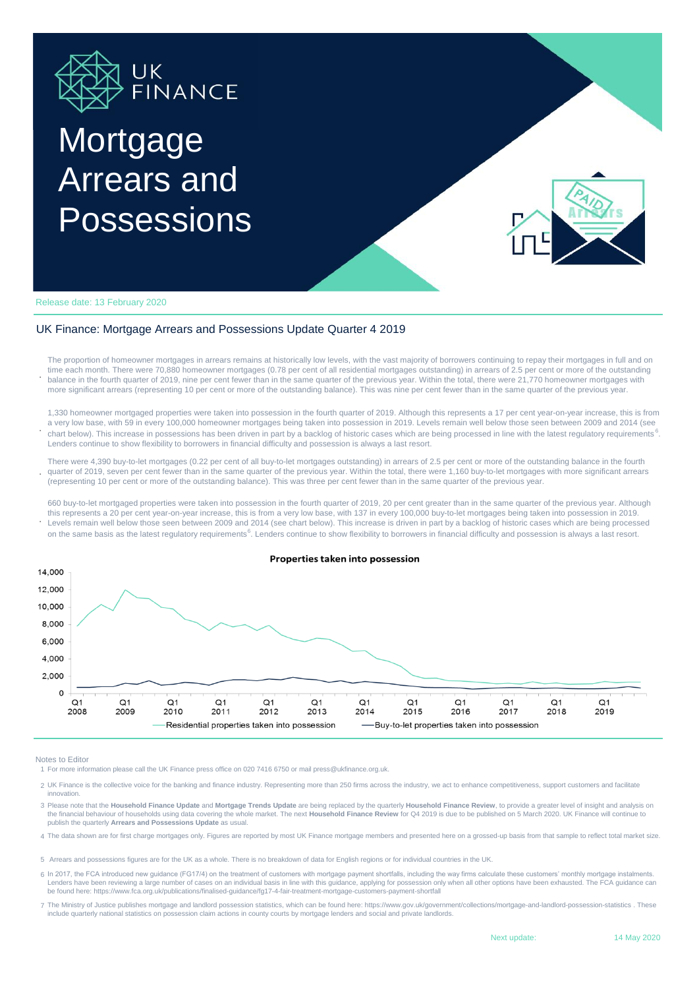

## **Mortgage** Arrears and Possessions



Release date: 13 February 2020

## UK Finance: Mortgage Arrears and Possessions Update Quarter 4 2019

**.** The proportion of homeowner mortgages in arrears remains at historically low levels, with the vast majority of borrowers continuing to repay their mortgages in full and on time each month. There were 70,880 homeowner mortgages (0.78 per cent of all residential mortgages outstanding) in arrears of 2.5 per cent or more of the outstanding balance in the fourth quarter of 2019, nine per cent fewer than in the same quarter of the previous year. Within the total, there were 21,770 homeowner mortgages with more significant arrears (representing 10 per cent or more of the outstanding balance). This was nine per cent fewer than in the same quarter of the previous year.

**.** 1,330 homeowner mortgaged properties were taken into possession in the fourth quarter of 2019. Although this represents a 17 per cent year-on-year increase, this is from a very low base, with 59 in every 100,000 homeowner mortgages being taken into possession in 2019. Levels remain well below those seen between 2009 and 2014 (see chart below). This increase in possessions has been driven in part by a backlog of historic cases which are being processed in line with the latest regulatory requirements<sup>6</sup>. Lenders continue to show flexibility to borrowers in financial difficulty and possession is always a last resort.

**.** There were 4,390 buy-to-let mortgages (0.22 per cent of all buy-to-let mortgages outstanding) in arrears of 2.5 per cent or more of the outstanding balance in the fourth quarter of 2019, seven per cent fewer than in the same quarter of the previous year. Within the total, there were 1,160 buy-to-let mortgages with more significant arrears (representing 10 per cent or more of the outstanding balance). This was three per cent fewer than in the same quarter of the previous year.

**.** Levels remain well below those seen between 2009 and 2014 (see chart below). This increase is driven in part by a backlog of historic cases which are being processed 660 buy-to-let mortgaged properties were taken into possession in the fourth quarter of 2019, 20 per cent greater than in the same quarter of the previous year. Although this represents a 20 per cent year-on-year increase, this is from a very low base, with 137 in every 100,000 buy-to-let mortgages being taken into possession in 2019. on the same basis as the latest regulatory requirements<sup>6</sup>. Lenders continue to show flexibility to borrowers in financial difficulty and possession is always a last resort.



Notes to Editor

1 For more information please call the UK Finance press office on 020 7416 6750 or mail press@ukfinance.org.uk.

- 2 UK Finance is the collective voice for the banking and finance industry. Representing more than 250 firms across the industry, we act to enhance competitiveness, support customers and facilitate innovation.
- 3 Please note that the **Household Finance Update** and **Mortgage Trends Update** are being replaced by the quarterly **Household Finance Review**, to provide a greater level of insight and analysis on the financial behaviour of households using data covering the whole market. The next **Household Finance Review** for Q4 2019 is due to be published on 5 March 2020. UK Finance will continue to publish the quarterly **Arrears and Possessions Update** as usual.
- 4 The data shown are for first charge mortgages only. Figures are reported by most UK Finance mortgage members and presented here on a grossed-up basis from that sample to reflect total market size.
- 5 Arrears and possessions figures are for the UK as a whole. There is no breakdown of data for English regions or for individual countries in the UK.
- 6 In 2017, the FCA introduced new guidance (FG17/4) on the treatment of customers with mortgage payment shortfalls, including the way firms calculate these customers' monthly mortgage instalments. have been reviewing a large number of cases on an individual basis in line with this guidance, applying for possession only when all other options have been exhausted. The FCA guidance can be found here: https://www.fca.org.uk/publications/finalised-guidance/fg17-4-fair-treatment-mortgage-customers-payment-shortfall
- 7 The Ministry of Justice publishes mortgage and landlord possession statistics, which can be found here: https://www.gov.uk/government/collections/mortgage-and-landlord-possession-statistics . These<br>include quarterly nati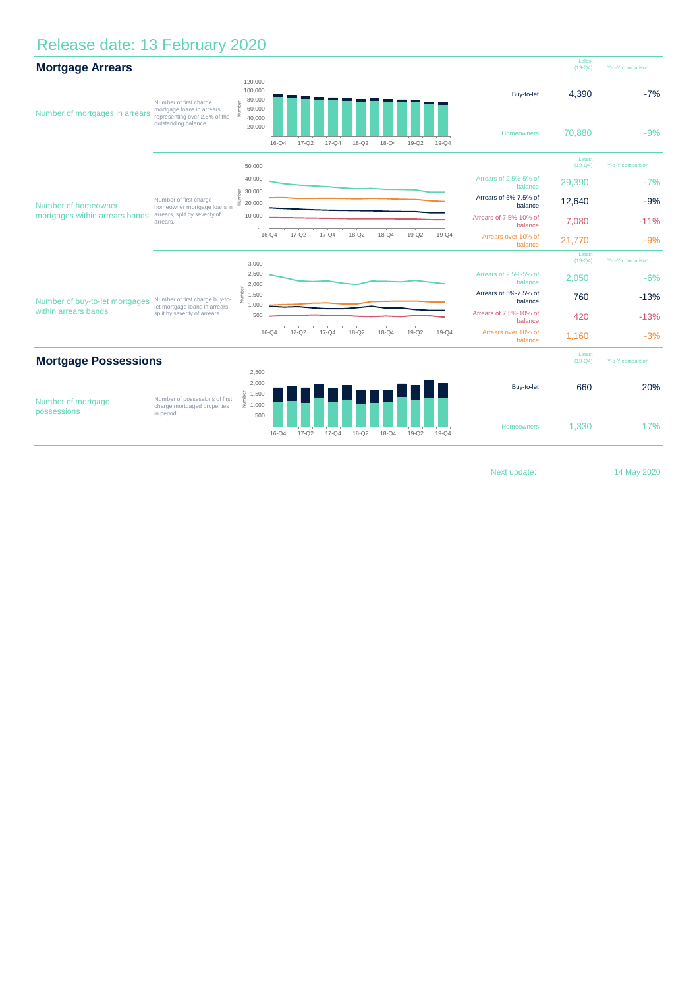## Release date: 13 February 2020

| <b>Mortgage Arrears</b>                                |                                                                                                             |                                                                                     |           |           |           |           |           |           |                       |                                   | Latest<br>$(19 - Q4)$ | Y-o-Y comparison |
|--------------------------------------------------------|-------------------------------------------------------------------------------------------------------------|-------------------------------------------------------------------------------------|-----------|-----------|-----------|-----------|-----------|-----------|-----------------------|-----------------------------------|-----------------------|------------------|
| Number of mortgages in arrears                         | Number of first charge<br>mortgage loans in arrears<br>representing over 2.5% of the<br>outstanding balance | 120,000<br>100,000<br>80,000<br>Number<br>60,000<br>40,000<br>20,000                | $16-Q4$   | $17 - Q2$ | $17 - Q4$ | $18-Q2$   | $18 - Q4$ | $19-Q2$   | $19 - Q4$             | Buy-to-let<br>Homeowners          | 4,390<br>70.880       | $-7%$<br>$-9%$   |
| Number of homeowner<br>mortgages within arrears bands  | Number of first charge<br>homeowner mortgage loans in<br>arrears, split by severity of<br>arrears.          | 50,000                                                                              |           |           |           |           |           |           |                       |                                   | Latest<br>$(19 - Q4)$ | Y-o-Y comparison |
|                                                        |                                                                                                             | 40,000                                                                              |           |           |           |           |           |           |                       | Arrears of 2.5%-5% of<br>balance  | 29,390                | $-7%$            |
|                                                        |                                                                                                             | 30,000<br>ğ<br>Ξ<br>20,000                                                          |           |           |           |           |           |           |                       | Arrears of 5%-7.5% of<br>balance  | 12,640                | $-9%$            |
|                                                        |                                                                                                             | 10,000                                                                              |           |           |           |           |           |           |                       | Arrears of 7.5%-10% of<br>balance | 7,080                 | $-11%$           |
|                                                        |                                                                                                             |                                                                                     | $16 - Q4$ | $17 - Q2$ | $17 - Q4$ | $18-Q2$   | $18 - Q4$ | $19-Q2$   | 19-Q4                 | Arrears over 10% of<br>balance    | 21,770                | $-9%$            |
|                                                        |                                                                                                             | 3,000                                                                               |           |           |           |           |           |           |                       |                                   | Latest<br>$(19 - Q4)$ | Y-o-Y comparison |
| Number of buy-to-let mortgages<br>within arrears bands | Number of first charge buy-to-<br>let mortgage loans in arrears,<br>split by severity of arrears.           | 2,500<br>2,000                                                                      |           |           |           |           |           |           |                       | Arrears of 2.5%-5% of<br>balance  | 2,050                 | $-6%$            |
|                                                        |                                                                                                             | Number<br>1,500                                                                     |           |           |           |           |           |           |                       | Arrears of 5%-7.5% of<br>balance  | 760                   | $-13%$           |
|                                                        |                                                                                                             | 1,000<br>500                                                                        |           |           |           |           |           |           |                       | Arrears of 7.5%-10% of<br>balance | 420                   | $-13%$           |
|                                                        |                                                                                                             |                                                                                     | $16 - Q4$ | $17 - Q2$ | $17 - Q4$ | $18 - Q2$ | $18 - Q4$ | $19-Q2$   | $19-Q4$               | Arrears over 10% of<br>balance    | 1,160                 | $-3%$            |
| <b>Mortgage Possessions</b>                            |                                                                                                             |                                                                                     |           |           |           |           |           |           | Latest<br>$(19 - Q4)$ | Y-o-Y comparison                  |                       |                  |
| Number of mortgage<br>possessions                      | Number of possessions of first<br>charge mortgaged properties<br>in period                                  | 2,500                                                                               |           |           |           |           |           |           |                       |                                   |                       |                  |
|                                                        |                                                                                                             | 2,000<br>$\begin{array}{ll} \frac{5}{6} & 1,500 \\ \frac{1}{2} & 1,000 \end{array}$ |           |           |           |           |           |           |                       | Buy-to-let                        | 660                   | 20%              |
|                                                        |                                                                                                             | 500                                                                                 | $16 - Q4$ | $17 - Q2$ | $17 - Q4$ | $18-Q2$   | $18 - Q4$ | $19 - Q2$ | $19 - Q4$             | <b>Homeowners</b>                 | 1,330                 | 17%              |

Next update:

14 May 2020